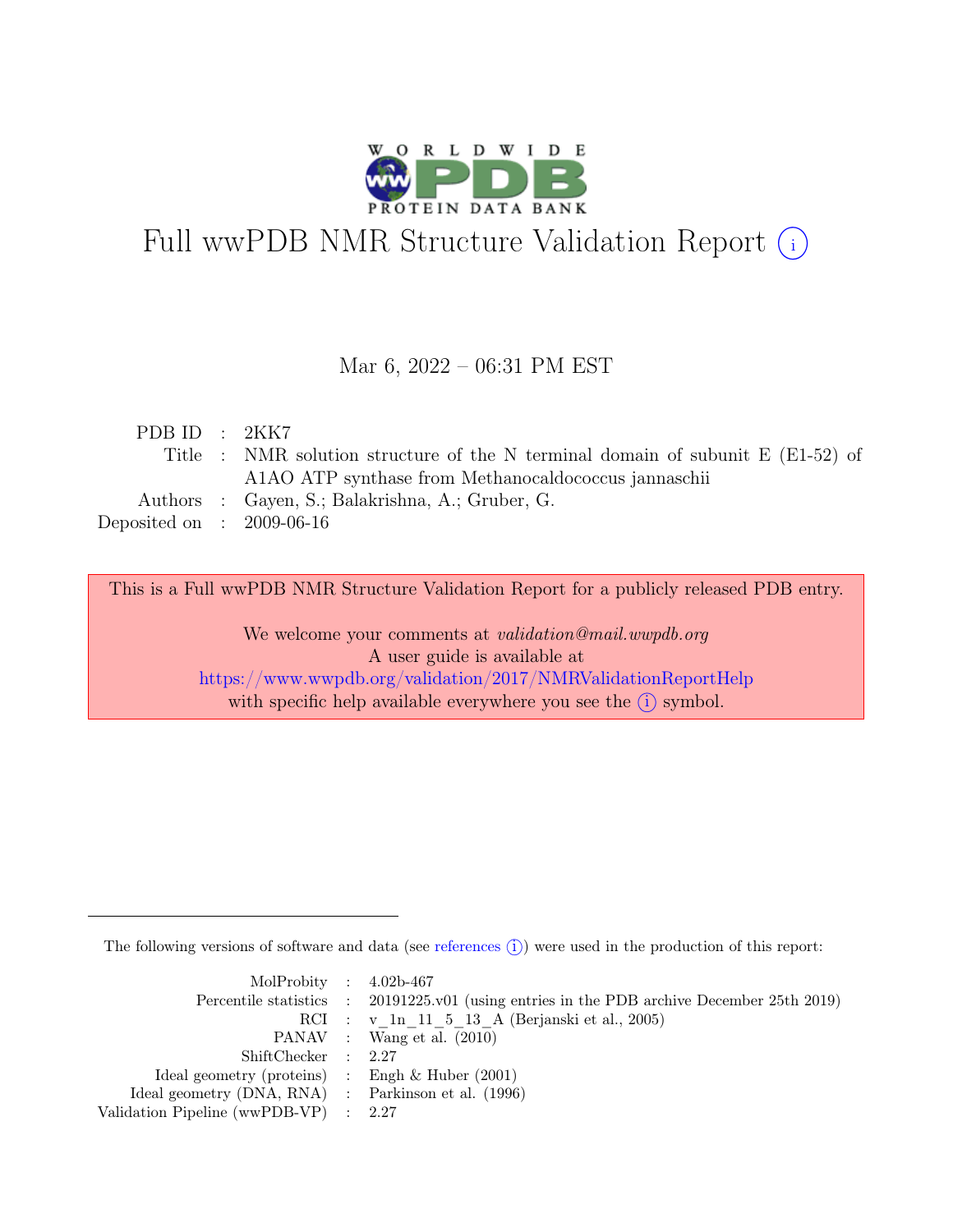

# Full wwPDB NMR Structure Validation Report (i)

## Mar 6, 2022 – 06:31 PM EST

|  | PDB ID : $2KK7$                                                                            |
|--|--------------------------------------------------------------------------------------------|
|  | Title : NMR solution structure of the N terminal domain of subunit $E(E1-52)$ of           |
|  | A <sub>1</sub> A <sub>1</sub> O <sub>ATP</sub> synthase from Methanocaldococcus jannaschii |
|  | Authors : Gayen, S.; Balakrishna, A.; Gruber, G.                                           |
|  | Deposited on : $2009-06-16$                                                                |

This is a Full wwPDB NMR Structure Validation Report for a publicly released PDB entry.

We welcome your comments at *validation@mail.wwpdb.org* A user guide is available at <https://www.wwpdb.org/validation/2017/NMRValidationReportHelp> with specific help available everywhere you see the  $(i)$  symbol.

The following versions of software and data (see [references](https://www.wwpdb.org/validation/2017/NMRValidationReportHelp#references)  $\hat{I}$ ) were used in the production of this report:

| MolProbity : $4.02b-467$                            |                                                                                            |
|-----------------------------------------------------|--------------------------------------------------------------------------------------------|
|                                                     | Percentile statistics : 20191225.v01 (using entries in the PDB archive December 25th 2019) |
|                                                     | RCI : v 1n 11 5 13 A (Berjanski et al., 2005)                                              |
|                                                     | PANAV : Wang et al. (2010)                                                                 |
| ShiftChecker : 2.27                                 |                                                                                            |
| Ideal geometry (proteins) : Engh $\&$ Huber (2001)  |                                                                                            |
| Ideal geometry (DNA, RNA) : Parkinson et al. (1996) |                                                                                            |
| Validation Pipeline (wwPDB-VP) : 2.27               |                                                                                            |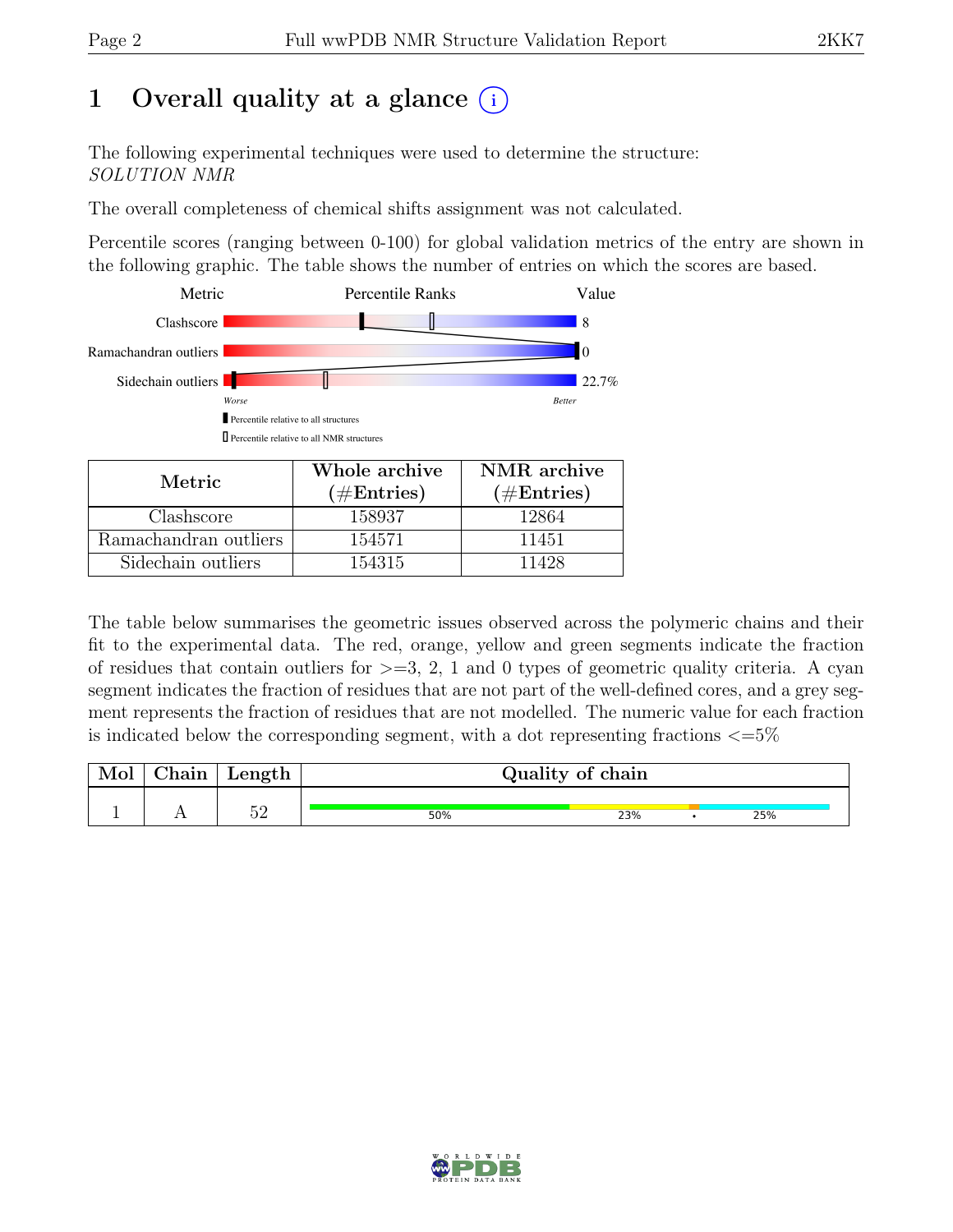# 1 Overall quality at a glance  $(i)$

The following experimental techniques were used to determine the structure: SOLUTION NMR

The overall completeness of chemical shifts assignment was not calculated.

Percentile scores (ranging between 0-100) for global validation metrics of the entry are shown in the following graphic. The table shows the number of entries on which the scores are based.



| Metric                | $(\#Entries)$ | $(\#Entries)$ |
|-----------------------|---------------|---------------|
| Clashscore            | 158937        | 12864         |
| Ramachandran outliers | 154571        | 11451         |
| Sidechain outliers    | 154315        | 11428         |

The table below summarises the geometric issues observed across the polymeric chains and their fit to the experimental data. The red, orange, yellow and green segments indicate the fraction of residues that contain outliers for  $>=$  3, 2, 1 and 0 types of geometric quality criteria. A cyan segment indicates the fraction of residues that are not part of the well-defined cores, and a grey segment represents the fraction of residues that are not modelled. The numeric value for each fraction is indicated below the corresponding segment, with a dot representing fractions  $\langle=5\%$ 

| Mol | $\perp$ Chain $\perp$ | $\perp$ Length |     | Quality of chain |  |     |  |  |
|-----|-----------------------|----------------|-----|------------------|--|-----|--|--|
|     |                       | r∩             | 50% | 23%              |  | 25% |  |  |

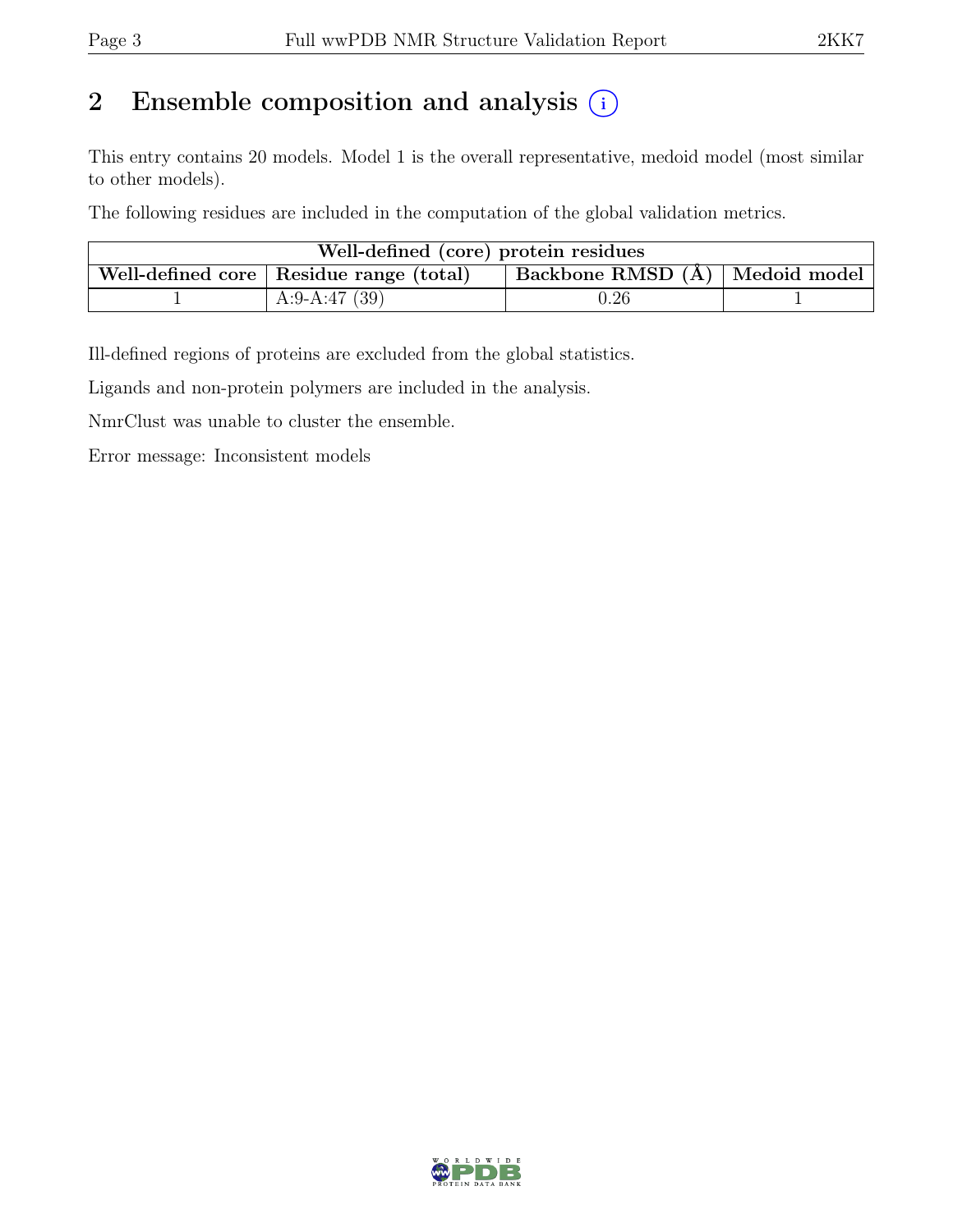# 2 Ensemble composition and analysis  $(i)$

This entry contains 20 models. Model 1 is the overall representative, medoid model (most similar to other models).

The following residues are included in the computation of the global validation metrics.

| Well-defined (core) protein residues |                                           |                                |  |  |  |  |  |
|--------------------------------------|-------------------------------------------|--------------------------------|--|--|--|--|--|
|                                      | Well-defined core   Residue range (total) | Backbone RMSD (A) Medoid model |  |  |  |  |  |
|                                      | A:9-A:47 $(39)$                           | 0.26                           |  |  |  |  |  |

Ill-defined regions of proteins are excluded from the global statistics.

Ligands and non-protein polymers are included in the analysis.

NmrClust was unable to cluster the ensemble.

Error message: Inconsistent models

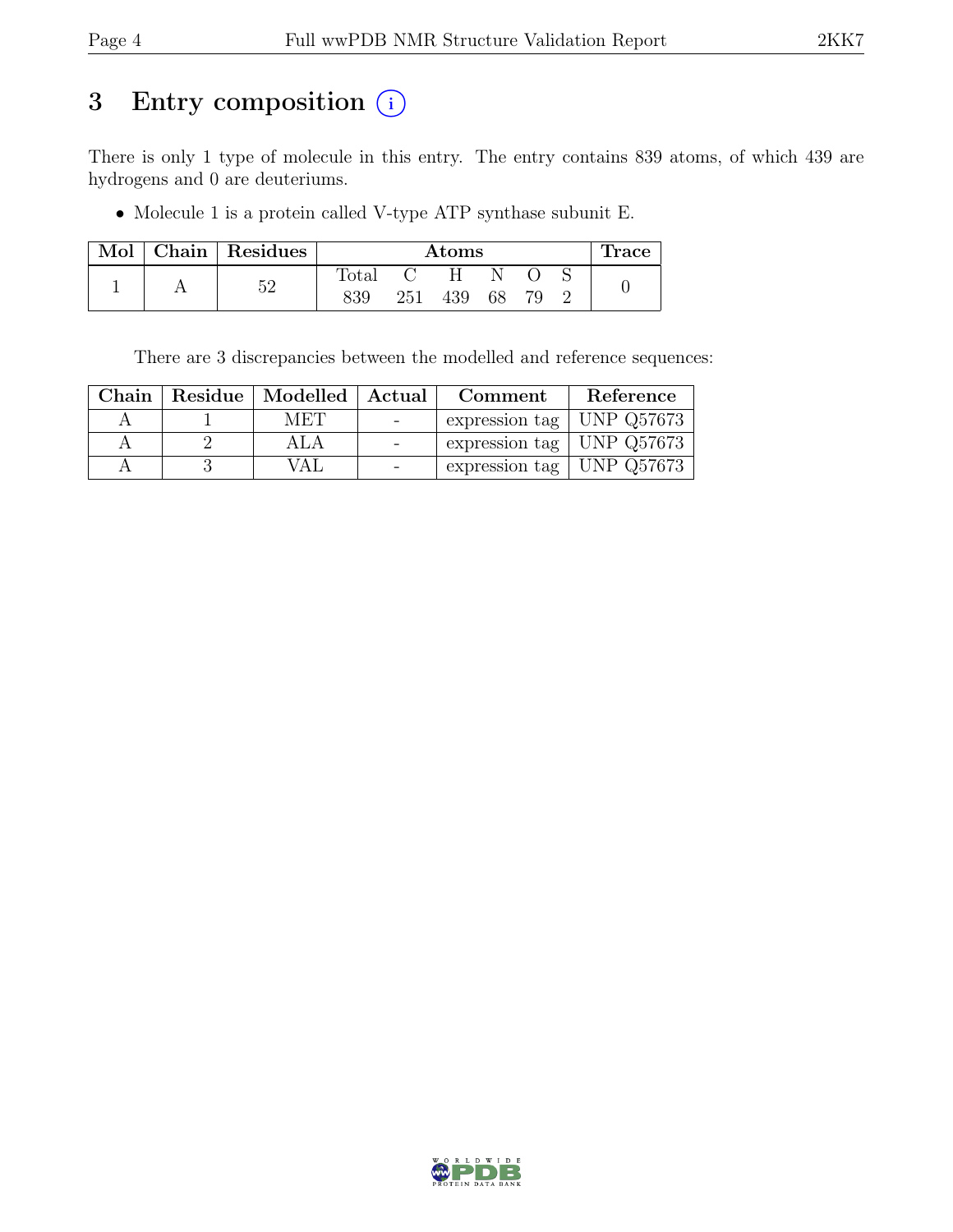# 3 Entry composition  $(i)$

There is only 1 type of molecule in this entry. The entry contains 839 atoms, of which 439 are hydrogens and 0 are deuteriums.

• Molecule 1 is a protein called V-type ATP synthase subunit E.

| Mol | Chain   Residues | Atoms        |     |     |    |  | <b>Trace</b> |  |
|-----|------------------|--------------|-----|-----|----|--|--------------|--|
|     | KΩ               | <b>Total</b> |     |     |    |  |              |  |
|     |                  | 839          | 251 | 439 | 68 |  |              |  |

There are 3 discrepancies between the modelled and reference sequences:

|  |      | Chain   Residue   Modelled   Actual   Comment | Reference |
|--|------|-----------------------------------------------|-----------|
|  | MET  | expression tag   UNP $Q57673$                 |           |
|  | ALA  | expression tag   UNP $Q57673$                 |           |
|  | VA L | expression tag   UNP $Q57673$                 |           |

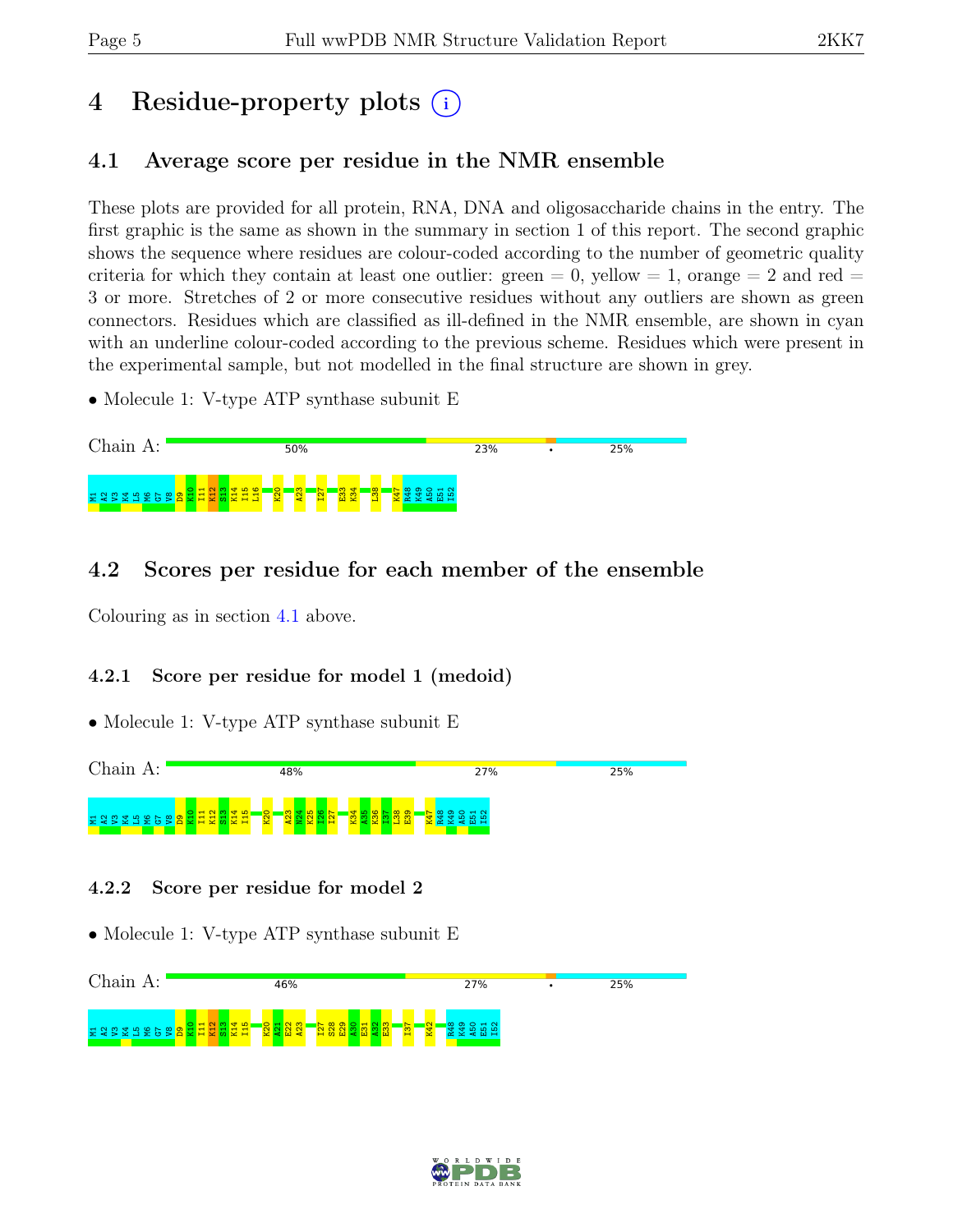# 4 Residue-property plots  $(i)$

# <span id="page-4-0"></span>4.1 Average score per residue in the NMR ensemble

These plots are provided for all protein, RNA, DNA and oligosaccharide chains in the entry. The first graphic is the same as shown in the summary in section 1 of this report. The second graphic shows the sequence where residues are colour-coded according to the number of geometric quality criteria for which they contain at least one outlier: green  $= 0$ , yellow  $= 1$ , orange  $= 2$  and red  $=$ 3 or more. Stretches of 2 or more consecutive residues without any outliers are shown as green connectors. Residues which are classified as ill-defined in the NMR ensemble, are shown in cyan with an underline colour-coded according to the previous scheme. Residues which were present in the experimental sample, but not modelled in the final structure are shown in grey.

• Molecule 1: V-type ATP synthase subunit E



# 4.2 Scores per residue for each member of the ensemble

Colouring as in section [4.1](#page-4-0) above.

## 4.2.1 Score per residue for model 1 (medoid)

• Molecule 1: V-type ATP synthase subunit E



## 4.2.2 Score per residue for model 2



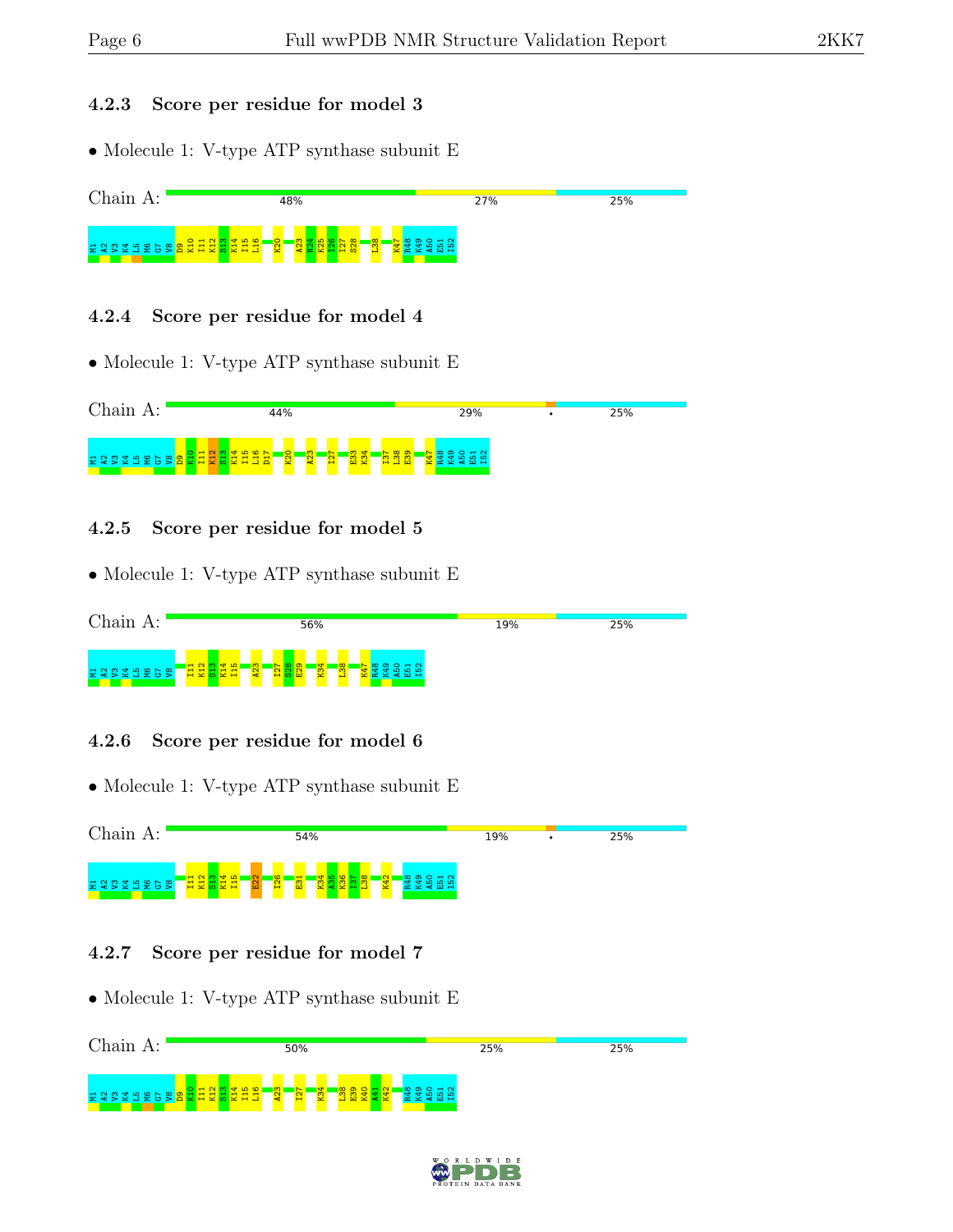### 4.2.3 Score per residue for model 3

• Molecule 1: V-type ATP synthase subunit E



### 4.2.4 Score per residue for model 4

• Molecule 1: V-type ATP synthase subunit E



### 4.2.5 Score per residue for model 5

• Molecule 1: V-type ATP synthase subunit E



### 4.2.6 Score per residue for model 6

• Molecule 1: V-type ATP synthase subunit E



### 4.2.7 Score per residue for model 7



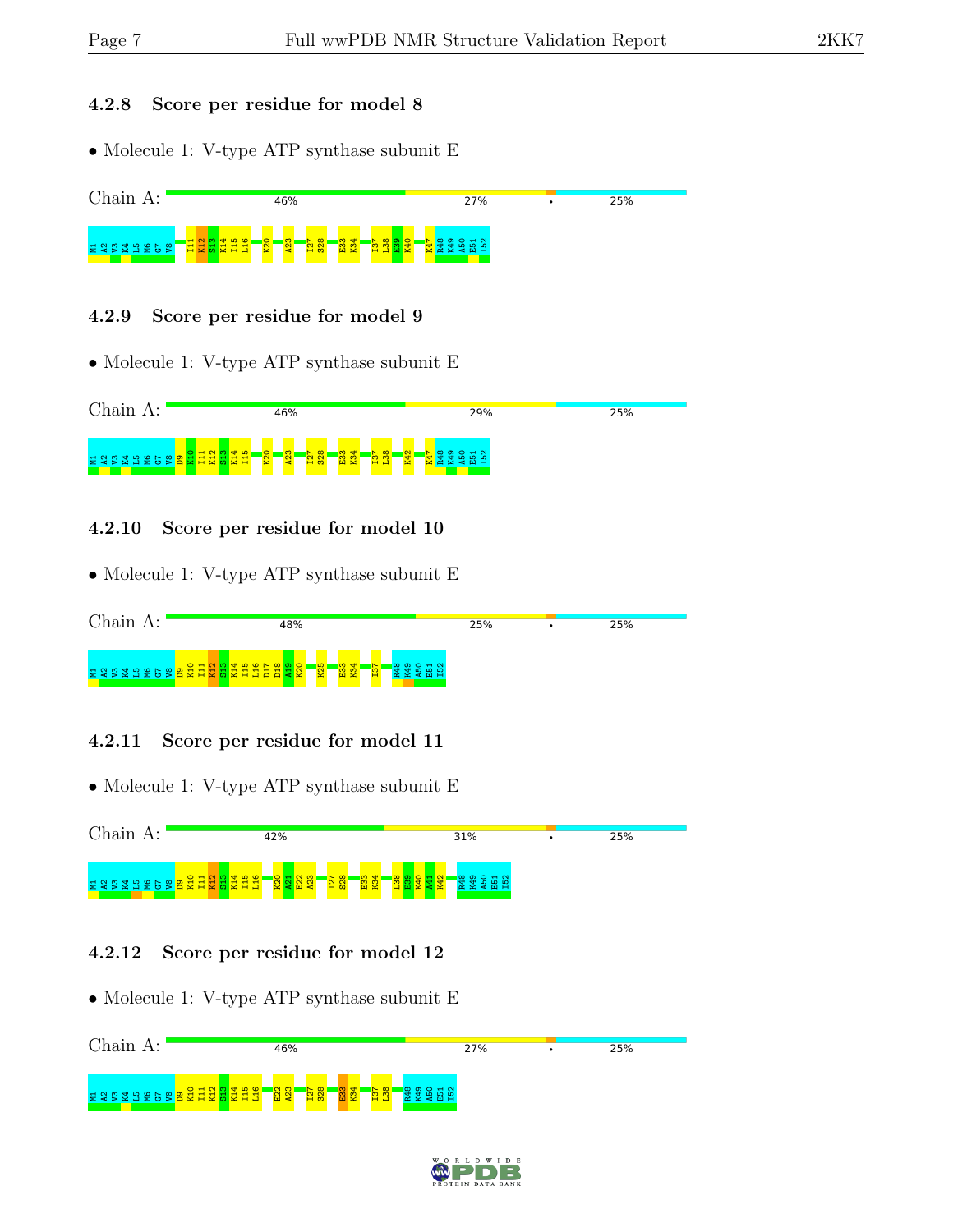#### 4.2.8 Score per residue for model 8

• Molecule 1: V-type ATP synthase subunit E



#### 4.2.9 Score per residue for model 9

• Molecule 1: V-type ATP synthase subunit E



#### 4.2.10 Score per residue for model 10

• Molecule 1: V-type ATP synthase subunit E

| Chain | 48%                                                                                 | 25% | 25% |
|-------|-------------------------------------------------------------------------------------|-----|-----|
|       | E 2 5 2 5 2 6 8 8 2 7 2 8 2 4 5 5 6 8 9 2 7 2 8 4 5 6 7 8 9 2 3<br>$\overline{K25}$ |     |     |

### 4.2.11 Score per residue for model 11

• Molecule 1: V-type ATP synthase subunit E



### 4.2.12 Score per residue for model 12



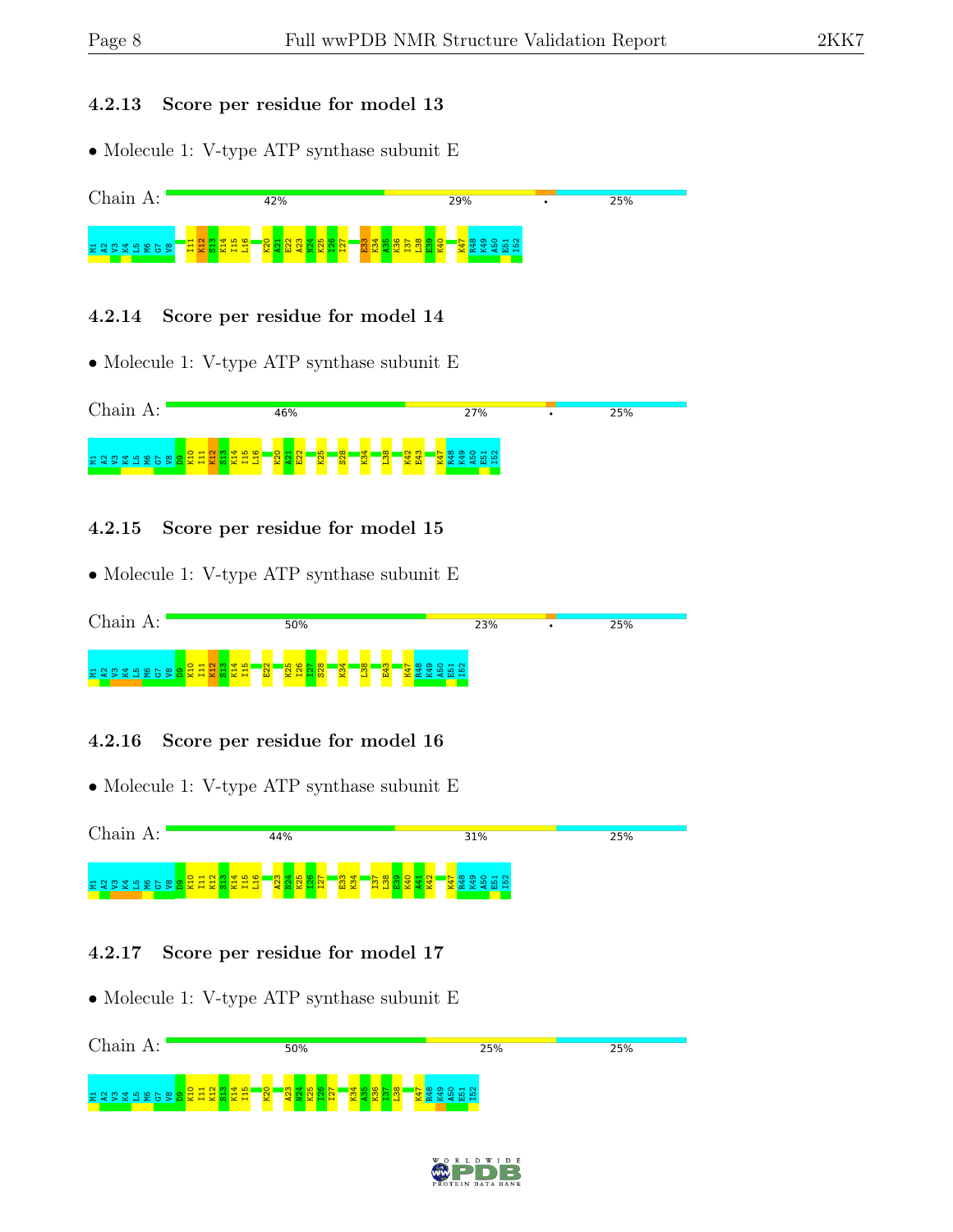### 4.2.13 Score per residue for model 13

• Molecule 1: V-type ATP synthase subunit E



## 4.2.14 Score per residue for model 14

• Molecule 1: V-type ATP synthase subunit E



## 4.2.15 Score per residue for model 15

• Molecule 1: V-type ATP synthase subunit E



## 4.2.16 Score per residue for model 16

• Molecule 1: V-type ATP synthase subunit E



## 4.2.17 Score per residue for model 17



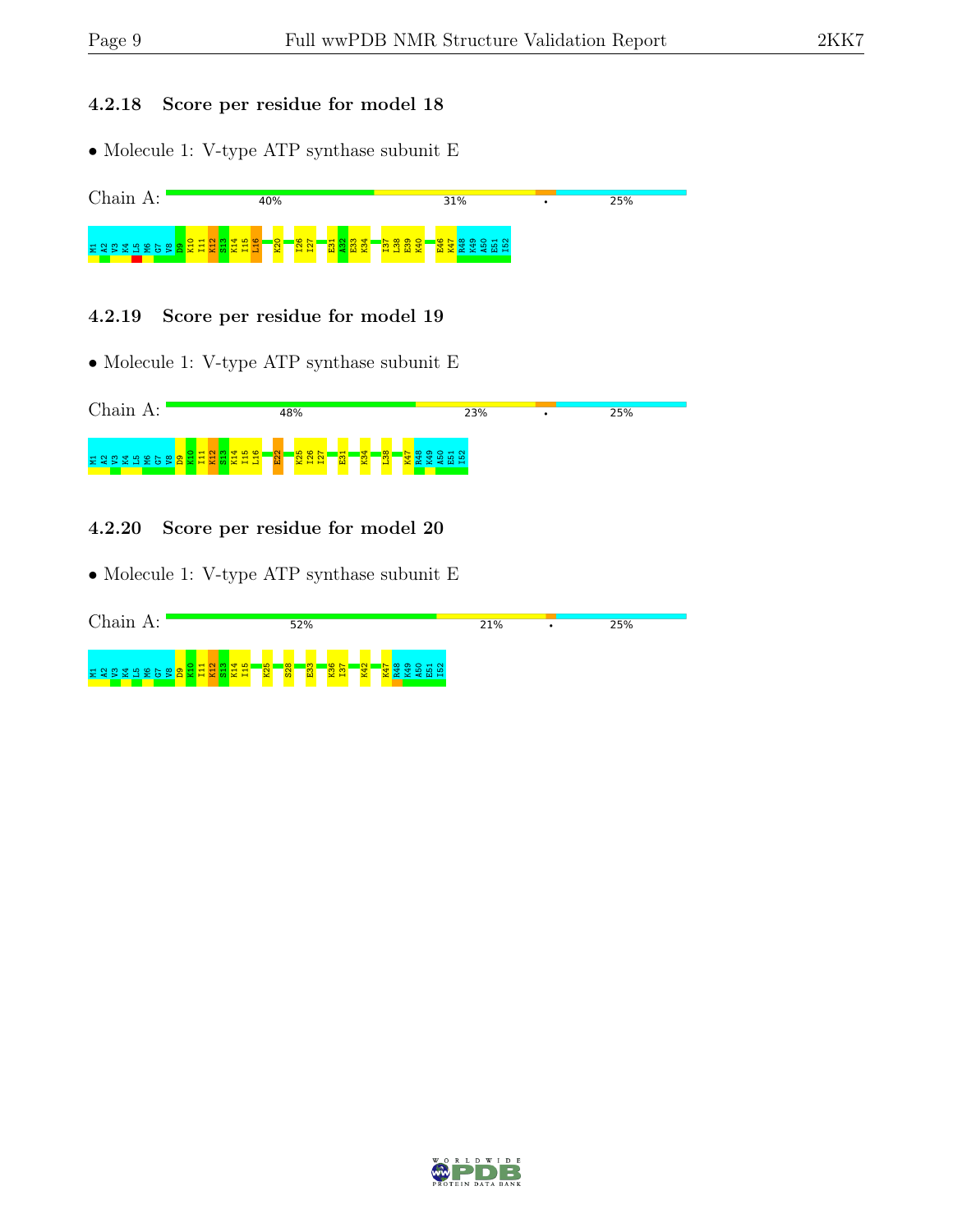#### 4.2.18 Score per residue for model 18

 $\bullet$  Molecule 1: V-type ATP synthase subunit E



### 4.2.19 Score per residue for model 19

• Molecule 1: V-type ATP synthase subunit E



### 4.2.20 Score per residue for model 20

| Chain<br>$A$ : | 52%                                                                                                | 21% | 25% |
|----------------|----------------------------------------------------------------------------------------------------|-----|-----|
| E2BEBE58       | S.<br>$\infty$<br><b>198</b><br>$\mathbf -$<br>$\sim$<br>$\mathbf{v}$<br>m<br>$\blacksquare$<br>×. |     |     |

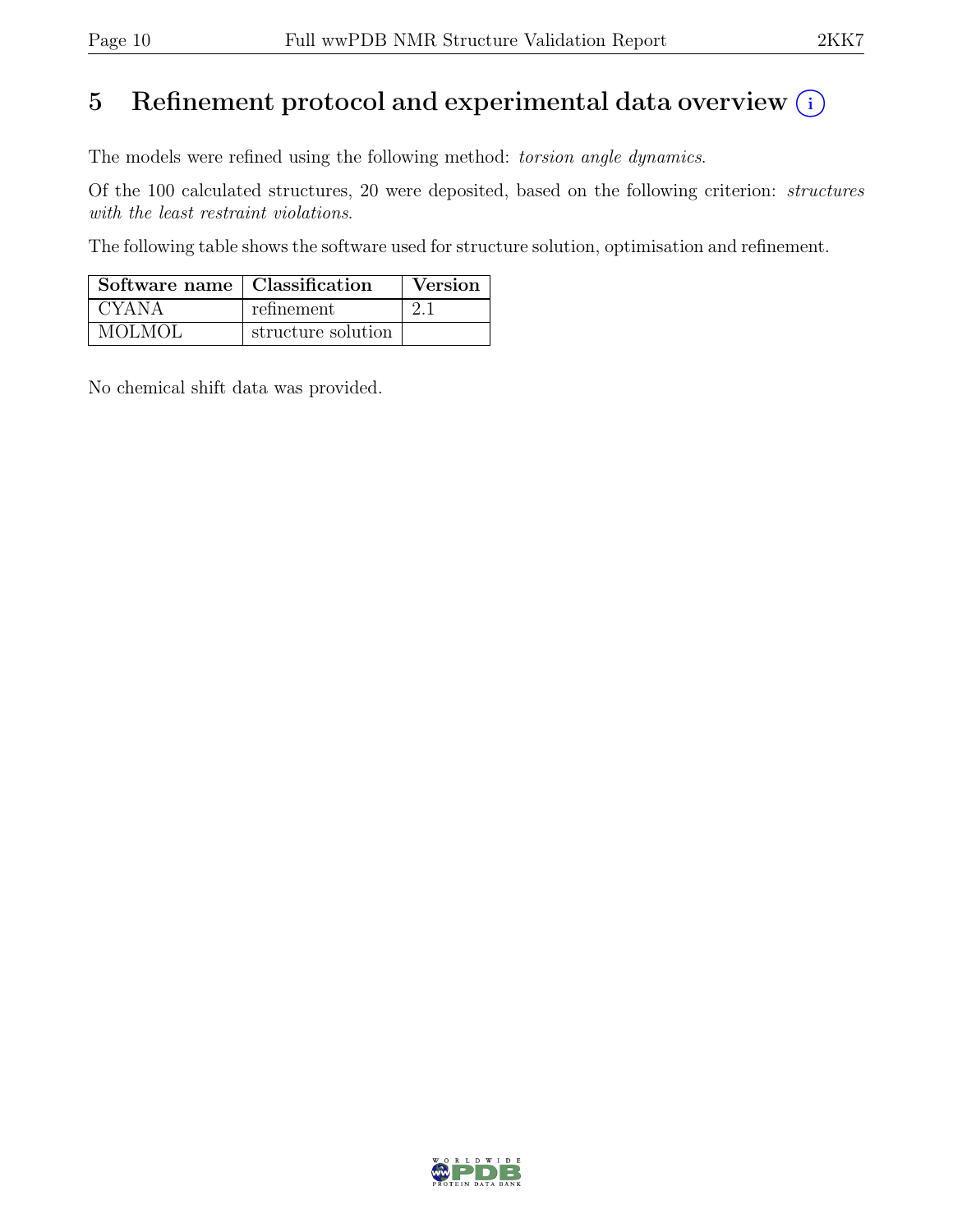# 5 Refinement protocol and experimental data overview  $(i)$

The models were refined using the following method: torsion angle dynamics.

Of the 100 calculated structures, 20 were deposited, based on the following criterion: structures with the least restraint violations.

The following table shows the software used for structure solution, optimisation and refinement.

| Software name   Classification |                    | Version |
|--------------------------------|--------------------|---------|
| I CYANA                        | refinement         | 21      |
| <b>MOLMOL</b>                  | structure solution |         |

No chemical shift data was provided.

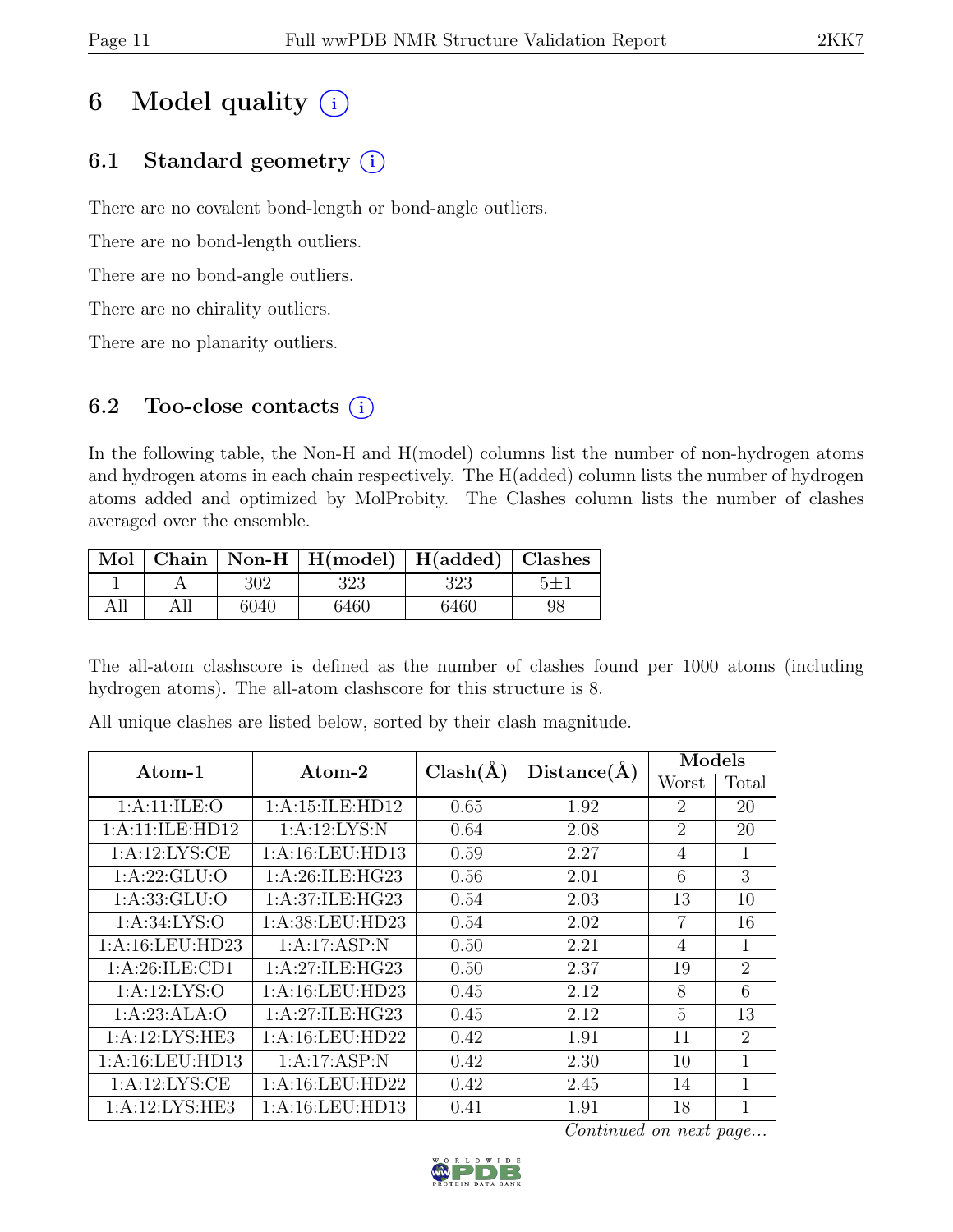# 6 Model quality  $(i)$

# 6.1 Standard geometry  $(i)$

There are no covalent bond-length or bond-angle outliers.

There are no bond-length outliers.

There are no bond-angle outliers.

There are no chirality outliers.

There are no planarity outliers.

# 6.2 Too-close contacts  $(i)$

In the following table, the Non-H and H(model) columns list the number of non-hydrogen atoms and hydrogen atoms in each chain respectively. The H(added) column lists the number of hydrogen atoms added and optimized by MolProbity. The Clashes column lists the number of clashes averaged over the ensemble.

|     |      | Mol   Chain   Non-H   H(model)   H(added)   Clashes |      |    |
|-----|------|-----------------------------------------------------|------|----|
|     | 302. | 323                                                 | 323  |    |
| All | 6040 | 6460                                                | 6460 | 98 |

The all-atom clashscore is defined as the number of clashes found per 1000 atoms (including hydrogen atoms). The all-atom clashscore for this structure is 8.

| $\rm{Atom-1}$     | Atom-2             | $Clash(\AA)$ | Distance(A) | Models         |                |  |
|-------------------|--------------------|--------------|-------------|----------------|----------------|--|
|                   |                    |              |             | Worst          | Total          |  |
| 1: A:11: ILE: O   | 1:A:15:ILE:HD12    | 0.65         | 1.92        | $\overline{2}$ | 20             |  |
| 1:A:11:ILE:HD12   | 1: A:12: LYS:N     | 0.64         | 2.08        | $\overline{2}$ | 20             |  |
| 1: A: 12: LYS: CE | 1:A:16:LEU:HD13    | 0.59         | 2.27        | $\overline{4}$ | $\mathbf{1}$   |  |
| 1:A:22:GLU:O      | 1: A:26: ILE: HG23 | 0.56         | 2.01        | 6              | 3              |  |
| 1: A: 33: GLU: O  | 1: A:37: ILE: HG23 | 0.54         | 2.03        | 13             | 10             |  |
| 1: A:34: LYS:O    | 1:A:38:LEU:HD23    | 0.54         | 2.02        | 7              | 16             |  |
| 1:A:16:LEU:HD23   | 1:A:17:ASP:N       | 0.50         | 2.21        | $\overline{4}$ | $\mathbf{1}$   |  |
| 1: A:26: ILE: CD1 | 1:A:27:ILE:HG23    | 0.50         | 2.37        | 19             | $\overline{2}$ |  |
| 1:A:12:LYS:O      | 1:A:16:LEU:HD23    | 0.45         | 2.12        | 8              | 6              |  |
| 1:A:23:ALA:O      | 1:A:27:ILE:HG23    | 0.45         | 2.12        | 5              | 13             |  |
| 1:A:12:LYS:HE3    | 1:A:16:LEU:HD22    | 0.42         | 1.91        | 11             | $\overline{2}$ |  |
| 1:A:16:LEU:HD13   | 1:A:17:ASP:N       | 0.42         | 2.30        | 10             | 1              |  |
| 1: A: 12: LYS: CE | 1:A:16:LEU:HD22    | 0.42         | 2.45        | 14             | 1              |  |
| 1:A:12:LYS:HE3    | 1:A:16:LEU:HD13    | 0.41         | 1.91        | 18             | $\mathbf{1}$   |  |

All unique clashes are listed below, sorted by their clash magnitude.

Continued on next page...

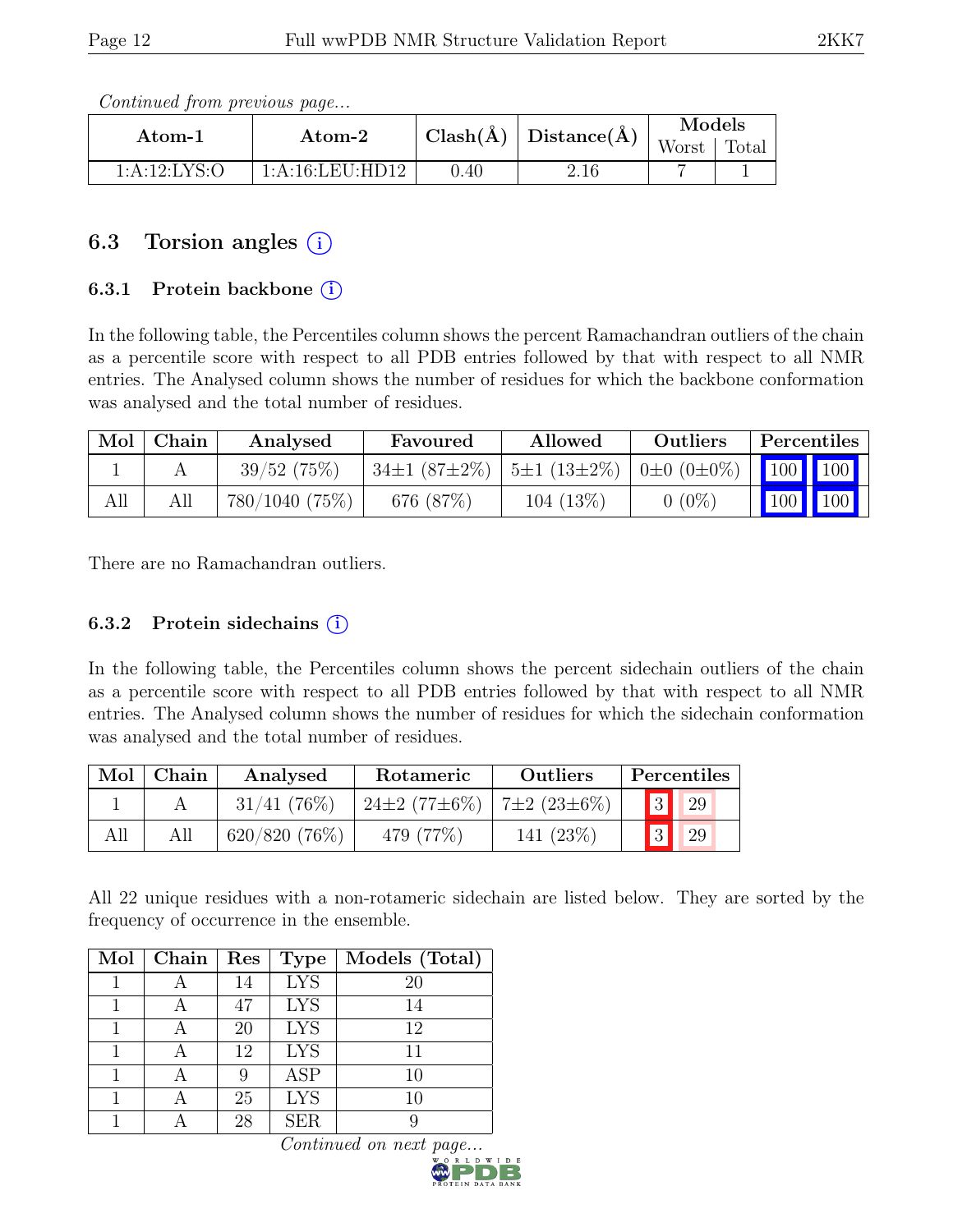Continued from previous page...

| Atom-1           | Atom-2          |      | $\text{Clash}(\AA)   \text{Distance}(\AA)$ | Models |       |
|------------------|-----------------|------|--------------------------------------------|--------|-------|
|                  |                 |      |                                            | Worst  | Total |
| 1: A: 12: LYS: O | 1:A:16:LEU:HD12 | 0.40 | 2.16                                       |        |       |

# 6.3 Torsion angles  $(i)$

## 6.3.1 Protein backbone (i)

In the following table, the Percentiles column shows the percent Ramachandran outliers of the chain as a percentile score with respect to all PDB entries followed by that with respect to all NMR entries. The Analysed column shows the number of residues for which the backbone conformation was analysed and the total number of residues.

| Mol | Chain | Analysed            | Favoured                                                                | Allowed     | Outliers | <b>Percentiles</b> |
|-----|-------|---------------------|-------------------------------------------------------------------------|-------------|----------|--------------------|
|     |       | 39/52(75%)          | $\frac{1}{100}$ 34±1 (87±2%)   5±1 (13±2%)   0±0 (0±0%)   100   100   1 |             |          |                    |
| All |       | $780/1040$ $(75\%)$ | 676 (87\%)                                                              | $104(13\%)$ | $0(0\%)$ | 100   100          |

There are no Ramachandran outliers.

## 6.3.2 Protein sidechains  $(i)$

In the following table, the Percentiles column shows the percent sidechain outliers of the chain as a percentile score with respect to all PDB entries followed by that with respect to all NMR entries. The Analysed column shows the number of residues for which the sidechain conformation was analysed and the total number of residues.

| Mol | Chain | Analysed<br>Rotameric |                                        | Percentiles<br>Outliers |    |
|-----|-------|-----------------------|----------------------------------------|-------------------------|----|
|     |       | 31/41(76%)            | $24\pm2(77\pm6\%)$   $7\pm2(23\pm6\%)$ |                         | 29 |
| All |       | 620/820(76%)          | 479 (77\%)                             | 141 (23%)               | 29 |

All 22 unique residues with a non-rotameric sidechain are listed below. They are sorted by the frequency of occurrence in the ensemble.

| Mol | Chain | Res | <b>Type</b> | Models (Total) |
|-----|-------|-----|-------------|----------------|
|     |       | 14  | <b>LYS</b>  | 20             |
|     |       | 47  | <b>LYS</b>  | 14             |
|     |       | 20  | <b>LYS</b>  | 12             |
|     |       | 12  | <b>LYS</b>  | 11             |
|     |       | 9   | <b>ASP</b>  | 10             |
|     |       | 25  | <b>LYS</b>  | 10             |
|     |       | 28  | <b>SER</b>  |                |

Continued on next page.

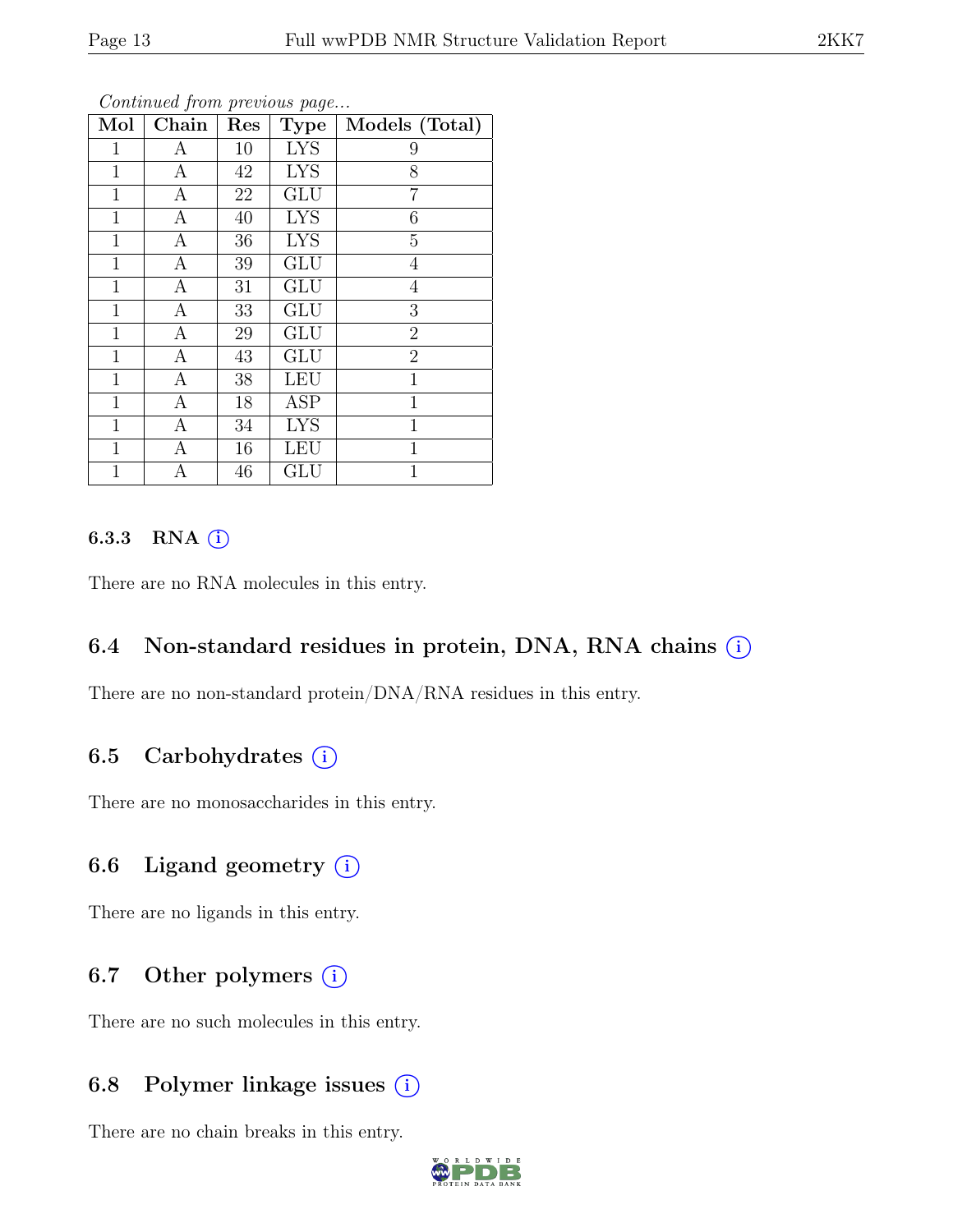| Mol            | Chain            | Res | Type       | Models (Total) |
|----------------|------------------|-----|------------|----------------|
| $\mathbf{1}$   | А                | 10  | <b>LYS</b> | 9              |
| $\mathbf{1}$   | А                | 42  | <b>LYS</b> | 8              |
| 1              | $\mathbf{A}$     | 22  | <b>GLU</b> | $\overline{7}$ |
| $\mathbf{1}$   | A                | 40  | <b>LYS</b> | 6              |
| 1              | $\mathbf{A}$     | 36  | <b>LYS</b> | $\overline{5}$ |
| 1              | $\boldsymbol{A}$ | 39  | <b>GLU</b> | $\overline{4}$ |
| $\mathbf{1}$   | A                | 31  | GLU        | $\overline{4}$ |
| $\mathbf 1$    | $\boldsymbol{A}$ | 33  | <b>GLU</b> | 3              |
| $\mathbf{1}$   | $\boldsymbol{A}$ | 29  | <b>GLU</b> | $\overline{2}$ |
| 1              | $\mathbf{A}$     | 43  | <b>GLU</b> | $\overline{2}$ |
| $\mathbf{1}$   | $\mathbf{A}$     | 38  | <b>LEU</b> | $\mathbf{1}$   |
| 1              | A                | 18  | <b>ASP</b> | 1              |
| 1              | $\mathbf{A}$     | 34  | <b>LYS</b> | $\mathbf 1$    |
| $\mathbf{1}$   | A                | 16  | <b>LEU</b> | 1              |
| $\overline{1}$ | А                | 46  | GLU        | 1              |

Continued from previous page...

## 6.3.3 RNA  $(i)$

There are no RNA molecules in this entry.

## 6.4 Non-standard residues in protein, DNA, RNA chains  $(i)$

There are no non-standard protein/DNA/RNA residues in this entry.

## 6.5 Carbohydrates  $(i)$

There are no monosaccharides in this entry.

## 6.6 Ligand geometry  $(i)$

There are no ligands in this entry.

## 6.7 Other polymers  $(i)$

There are no such molecules in this entry.

## 6.8 Polymer linkage issues  $(i)$

There are no chain breaks in this entry.